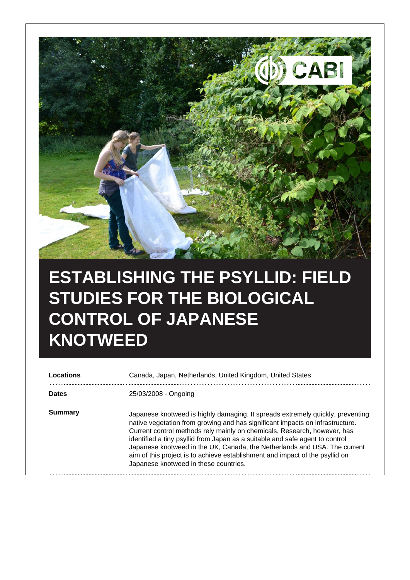

## **ESTABLISHING THE PSYLLID: FIELD STUDIES FOR THE BIOLOGICAL CONTROL OF JAPANESE KNOTWEED**

| Locations      | Canada, Japan, Netherlands, United Kingdom, United States                                                                                                                                                                                                                                                                                                                                                                                                                                                                         |
|----------------|-----------------------------------------------------------------------------------------------------------------------------------------------------------------------------------------------------------------------------------------------------------------------------------------------------------------------------------------------------------------------------------------------------------------------------------------------------------------------------------------------------------------------------------|
| <b>Dates</b>   | 25/03/2008 - Ongoing                                                                                                                                                                                                                                                                                                                                                                                                                                                                                                              |
| <b>Summary</b> | Japanese knotweed is highly damaging. It spreads extremely quickly, preventing<br>native vegetation from growing and has significant impacts on infrastructure.<br>Current control methods rely mainly on chemicals. Research, however, has<br>identified a tiny psyllid from Japan as a suitable and safe agent to control<br>Japanese knotweed in the UK, Canada, the Netherlands and USA. The current<br>aim of this project is to achieve establishment and impact of the psyllid on<br>Japanese knotweed in these countries. |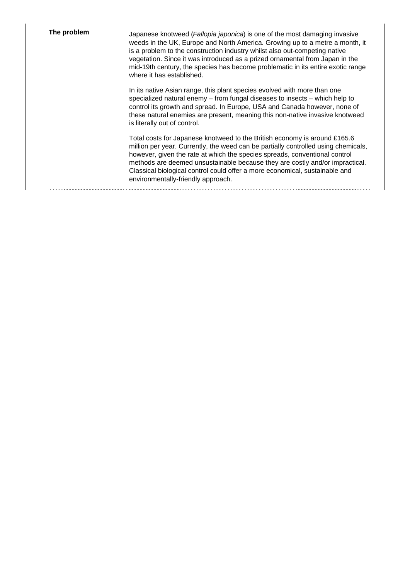**The problem** Japanese knotweed (*Fallopia japonica*) is one of the most damaging invasive weeds in the UK, Europe and North America. Growing up to a metre a month, it is a problem to the construction industry whilst also out-competing native vegetation. Since it was introduced as a prized ornamental from Japan in the mid-19th century, the species has become problematic in its entire exotic range where it has established.

> In its native Asian range, this plant species evolved with more than one specialized natural enemy – from fungal diseases to insects – which help to control its growth and spread. In Europe, USA and Canada however, none of these natural enemies are present, meaning this non-native invasive knotweed is literally out of control.

Total costs for Japanese knotweed to the British economy is around £165.6 million per year. Currently, the weed can be partially controlled using chemicals, however, given the rate at which the species spreads, conventional control methods are deemed unsustainable because they are costly and/or impractical. Classical biological control could offer a more economical, sustainable and environmentally-friendly approach.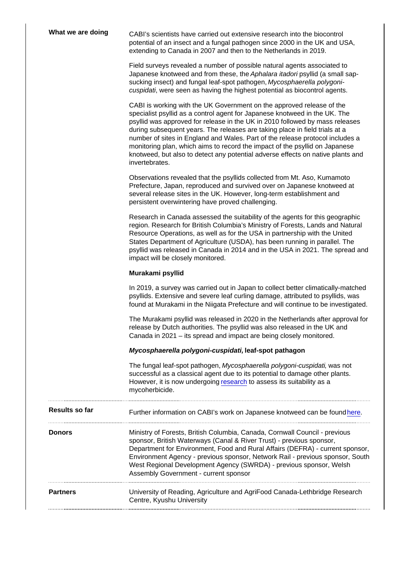| What we are doing | CABI's scientists have carried out extensive research into the biocontrol<br>potential of an insect and a fungal pathogen since 2000 in the UK and USA,<br>extending to Canada in 2007 and then to the Netherlands in 2019.                                                                                                                                                                                                                                                                                                                                                             |
|-------------------|-----------------------------------------------------------------------------------------------------------------------------------------------------------------------------------------------------------------------------------------------------------------------------------------------------------------------------------------------------------------------------------------------------------------------------------------------------------------------------------------------------------------------------------------------------------------------------------------|
|                   | Field surveys revealed a number of possible natural agents associated to<br>Japanese knotweed and from these, the Aphalara itadori psyllid (a small sap-<br>sucking insect) and fungal leaf-spot pathogen, Mycosphaerella polygoni-<br>cuspidati, were seen as having the highest potential as biocontrol agents.                                                                                                                                                                                                                                                                       |
|                   | CABI is working with the UK Government on the approved release of the<br>specialist psyllid as a control agent for Japanese knotweed in the UK. The<br>psyllid was approved for release in the UK in 2010 followed by mass releases<br>during subsequent years. The releases are taking place in field trials at a<br>number of sites in England and Wales. Part of the release protocol includes a<br>monitoring plan, which aims to record the impact of the psyllid on Japanese<br>knotweed, but also to detect any potential adverse effects on native plants and<br>invertebrates. |
|                   | Observations revealed that the psyllids collected from Mt. Aso, Kumamoto<br>Prefecture, Japan, reproduced and survived over on Japanese knotweed at<br>several release sites in the UK. However, long-term establishment and<br>persistent overwintering have proved challenging.                                                                                                                                                                                                                                                                                                       |
|                   | Research in Canada assessed the suitability of the agents for this geographic<br>region. Research for British Columbia's Ministry of Forests, Lands and Natural<br>Resource Operations, as well as for the USA in partnership with the United<br>States Department of Agriculture (USDA), has been running in parallel. The<br>psyllid was released in Canada in 2014 and in the USA in 2021. The spread and<br>impact will be closely monitored.                                                                                                                                       |
|                   | Murakami psyllid                                                                                                                                                                                                                                                                                                                                                                                                                                                                                                                                                                        |
|                   | In 2019, a survey was carried out in Japan to collect better climatically-matched<br>psyllids. Extensive and severe leaf curling damage, attributed to psyllids, was<br>found at Murakami in the Niigata Prefecture and will continue to be investigated.                                                                                                                                                                                                                                                                                                                               |
|                   | The Murakami psyllid was released in 2020 in the Netherlands after approval for<br>release by Dutch authorities. The psyllid was also released in the UK and<br>Canada in 2021 - its spread and impact are being closely monitored.                                                                                                                                                                                                                                                                                                                                                     |
|                   | Mycosphaerella polygoni-cuspidati,<br>leaf-spot pathagon                                                                                                                                                                                                                                                                                                                                                                                                                                                                                                                                |
|                   | The fungal leaf-spot pathogen, Mycosphaerella polygoni-cuspidati, was not<br>successful as a classical agent due to its potential to damage other plants.<br>However, it is now undergoing research to assess its suitability as a<br>mycoherbicide.                                                                                                                                                                                                                                                                                                                                    |
| Results so far    | Further information on CABI's work on Japanese knotweed can be found here.                                                                                                                                                                                                                                                                                                                                                                                                                                                                                                              |
| Donors            | Ministry of Forests, British Columbia, Canada, Cornwall Council - previous<br>sponsor, British Waterways (Canal & River Trust) - previous sponsor,<br>Department for Environment, Food and Rural Affairs (DEFRA) - current sponsor,<br>Environment Agency - previous sponsor, Network Rail - previous sponsor, South<br>West Regional Development Agency (SWRDA) - previous sponsor, Welsh<br>Assembly Government - current sponsor                                                                                                                                                     |
| Partners          | University of Reading, Agriculture and AgriFood Canada-Lethbridge Research<br>Centre, Kyushu University                                                                                                                                                                                                                                                                                                                                                                                                                                                                                 |
|                   |                                                                                                                                                                                                                                                                                                                                                                                                                                                                                                                                                                                         |